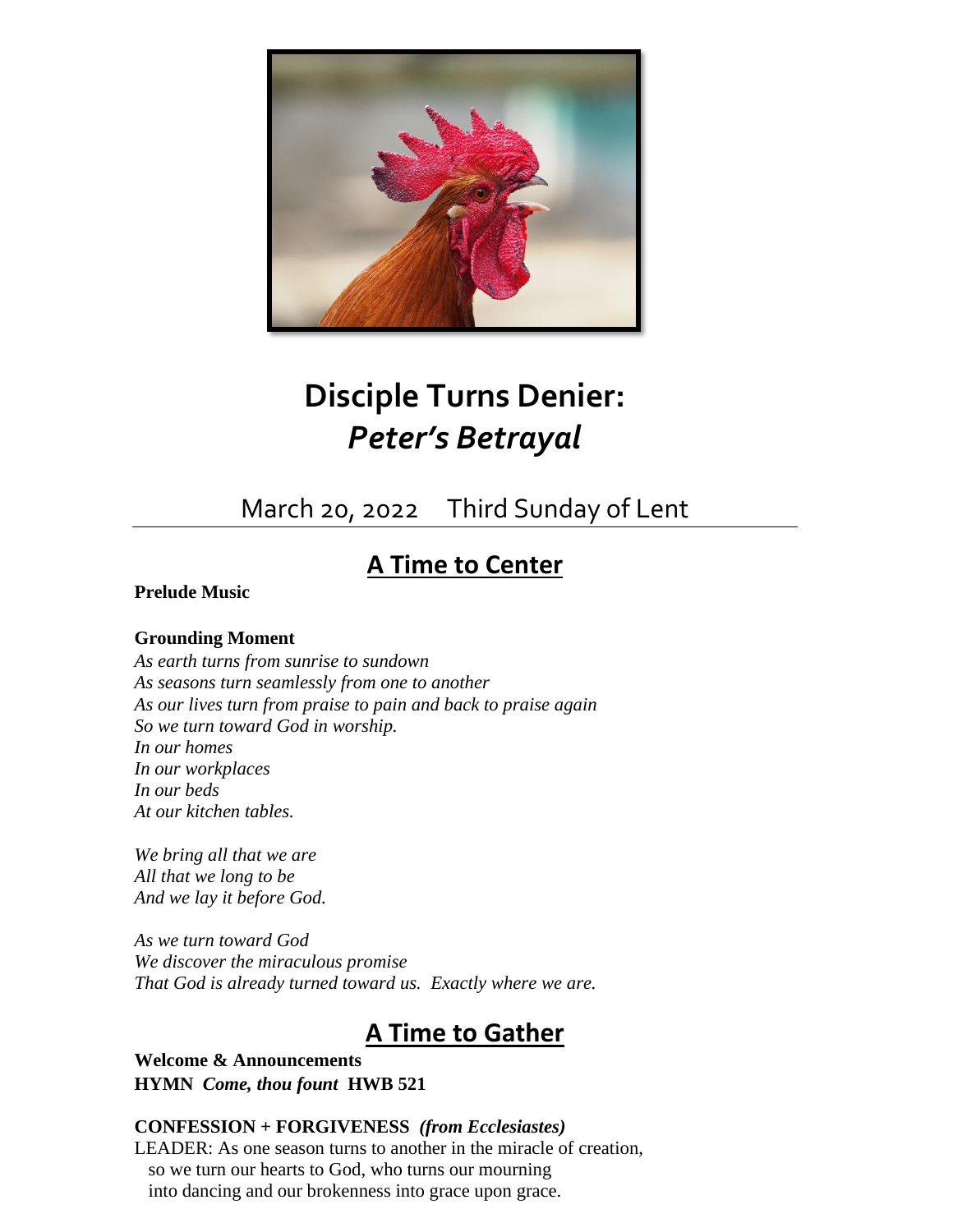

# **Disciple Turns Denier:** *Peter's Betrayal*

## March 20, 2022 Third Sunday of Lent

## **A Time to Center**

#### **Prelude Music**

#### **Grounding Moment**

*As earth turns from sunrise to sundown As seasons turn seamlessly from one to another As our lives turn from praise to pain and back to praise again So we turn toward God in worship. In our homes In our workplaces In our beds At our kitchen tables.*

*We bring all that we are All that we long to be And we lay it before God.*

*As we turn toward God We discover the miraculous promise That God is already turned toward us. Exactly where we are.*

## **A Time to Gather**

**Welcome & Announcements HYMN** *Come, thou fount* **HWB 521**

#### **CONFESSION + FORGIVENESS** *(from Ecclesiastes)*

LEADER: As one season turns to another in the miracle of creation, so we turn our hearts to God, who turns our mourning into dancing and our brokenness into grace upon grace.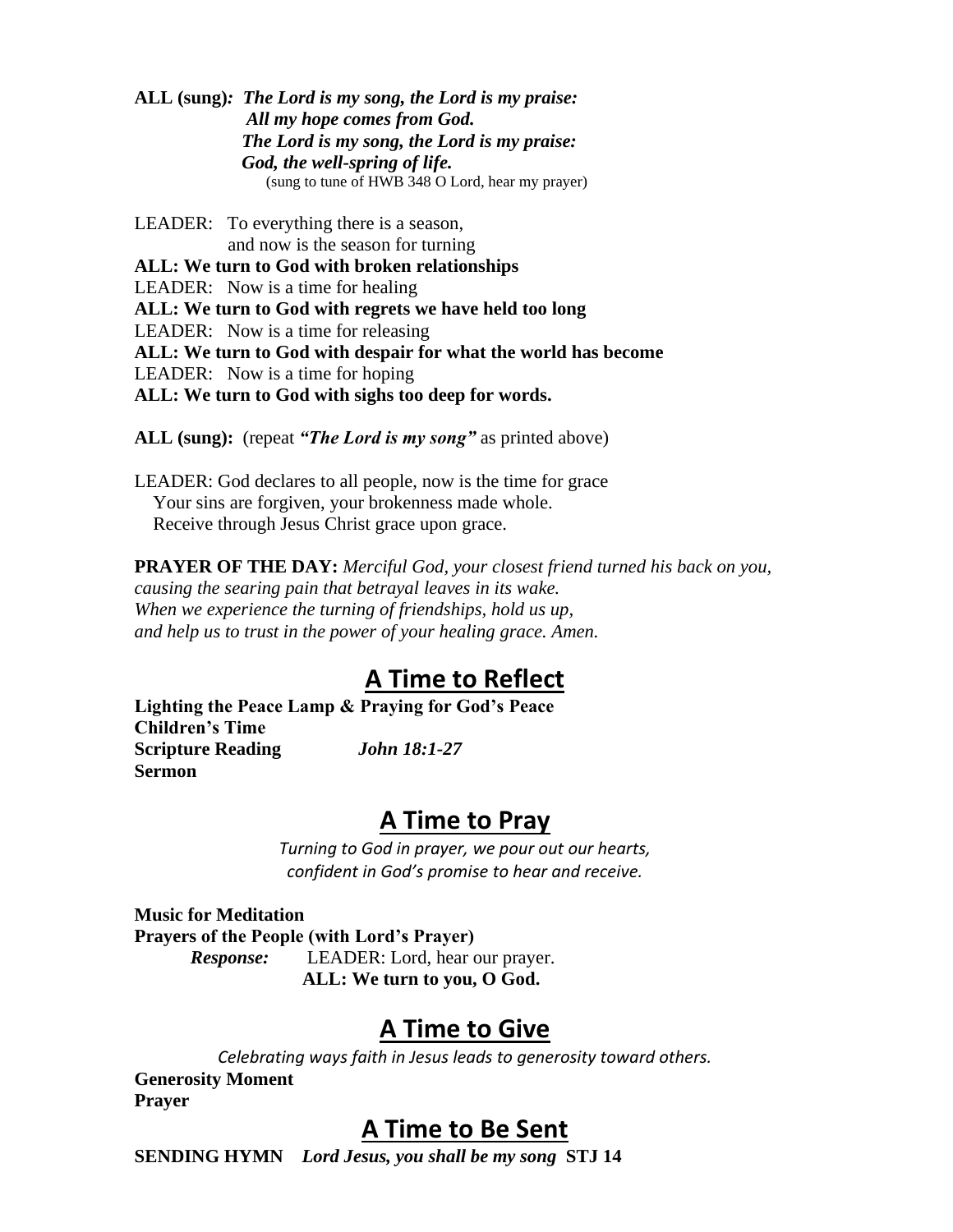**ALL (sung)***: The Lord is my song, the Lord is my praise: All my hope comes from God. The Lord is my song, the Lord is my praise: God, the well-spring of life.*  (sung to tune of HWB 348 O Lord, hear my prayer)

LEADER: To everything there is a season, and now is the season for turning **ALL: We turn to God with broken relationships** LEADER: Now is a time for healing **ALL: We turn to God with regrets we have held too long** LEADER: Now is a time for releasing **ALL: We turn to God with despair for what the world has become** LEADER: Now is a time for hoping **ALL: We turn to God with sighs too deep for words.**

**ALL (sung):** (repeat *"The Lord is my song"* as printed above)

LEADER: God declares to all people, now is the time for grace Your sins are forgiven, your brokenness made whole. Receive through Jesus Christ grace upon grace.

**PRAYER OF THE DAY:** *Merciful God, your closest friend turned his back on you, causing the searing pain that betrayal leaves in its wake. When we experience the turning of friendships, hold us up, and help us to trust in the power of your healing grace. Amen.*

### **A Time to Reflect**

**Lighting the Peace Lamp & Praying for God's Peace Children's Time Scripture Reading** *John 18:1-27* **Sermon**

#### **A Time to Pray**

*Turning to God in prayer, we pour out our hearts, confident in God's promise to hear and receive.*

**Music for Meditation Prayers of the People (with Lord's Prayer)** *Response:* LEADER: Lord, hear our prayer.

**ALL: We turn to you, O God.**

### **A Time to Give**

*Celebrating ways faith in Jesus leads to generosity toward others.* **Generosity Moment Prayer**

### **A Time to Be Sent**

**SENDING HYMN** *Lord Jesus, you shall be my song* **STJ 14**